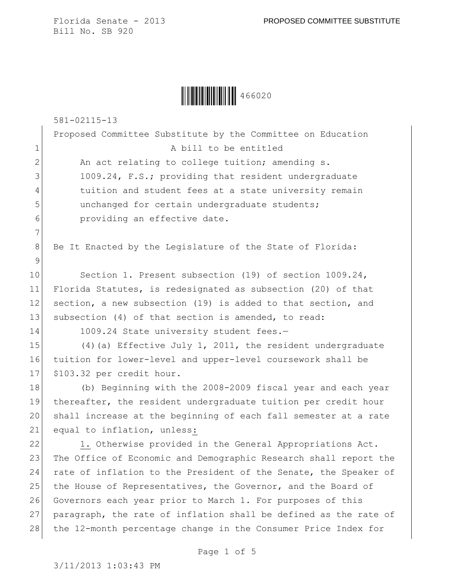|  | 466020 |
|--|--------|
|--|--------|

581-02115-13

|                | Proposed Committee Substitute by the Committee on Education |
|----------------|-------------------------------------------------------------|
| $\mathbf 1$    | A bill to be entitled                                       |
| $\mathbf{2}$   | An act relating to college tuition; amending s.             |
| $\mathcal{E}$  | 1009.24, F.S.; providing that resident undergraduate        |
| $\overline{4}$ | tuition and student fees at a state university remain       |
| 5              | unchanged for certain undergraduate students;               |
| 6              | providing an effective date.                                |
| 7              |                                                             |

8 Be It Enacted by the Legislature of the State of Florida:

10 Section 1. Present subsection (19) of section 1009.24, 11 Florida Statutes, is redesignated as subsection (20) of that 12 section, a new subsection (19) is added to that section, and 13 subsection (4) of that section is amended, to read:

9

 $\mathbf{I}$ 

14 1009.24 State university student fees.-

15 (4)(a) Effective July 1, 2011, the resident undergraduate 16 tuition for lower-level and upper-level coursework shall be 17 \$103.32 per credit hour.

 (b) Beginning with the 2008-2009 fiscal year and each year thereafter, the resident undergraduate tuition per credit hour shall increase at the beginning of each fall semester at a rate 21 equal to inflation, unless:

22 1. Otherwise provided in the General Appropriations Act. 23 The Office of Economic and Demographic Research shall report the 24 rate of inflation to the President of the Senate, the Speaker of 25 the House of Representatives, the Governor, and the Board of 26 Governors each year prior to March 1. For purposes of this 27 paragraph, the rate of inflation shall be defined as the rate of 28 the 12-month percentage change in the Consumer Price Index for

Page 1 of 5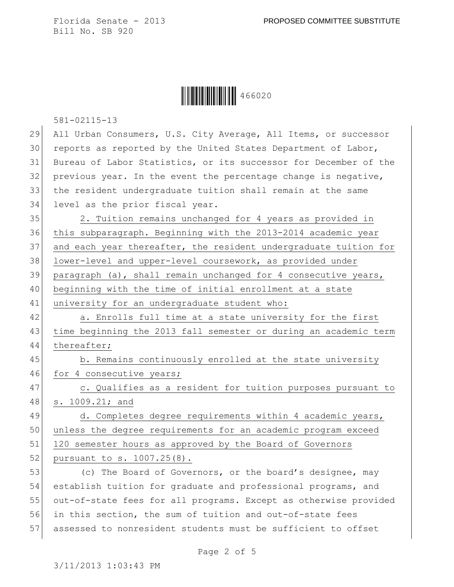|  | 466020 |
|--|--------|
|--|--------|

581-02115-13

| 29 | All Urban Consumers, U.S. City Average, All Items, or successor  |
|----|------------------------------------------------------------------|
| 30 | reports as reported by the United States Department of Labor,    |
| 31 | Bureau of Labor Statistics, or its successor for December of the |
| 32 | previous year. In the event the percentage change is negative,   |
| 33 | the resident undergraduate tuition shall remain at the same      |
| 34 | level as the prior fiscal year.                                  |
| 35 | 2. Tuition remains unchanged for 4 years as provided in          |
| 36 | this subparagraph. Beginning with the 2013-2014 academic year    |
| 37 | and each year thereafter, the resident undergraduate tuition for |
| 38 | lower-level and upper-level coursework, as provided under        |
| 39 | paragraph (a), shall remain unchanged for 4 consecutive years,   |
| 40 | beginning with the time of initial enrollment at a state         |
| 41 | university for an undergraduate student who:                     |
| 42 | a. Enrolls full time at a state university for the first         |
| 43 | time beginning the 2013 fall semester or during an academic term |
| 44 | thereafter;                                                      |
| 45 | b. Remains continuously enrolled at the state university         |
| 46 | for 4 consecutive years;                                         |
| 47 | c. Qualifies as a resident for tuition purposes pursuant to      |
| 48 | s. 1009.21; and                                                  |
| 49 | d. Completes degree requirements within 4 academic years,        |
| 50 | unless the degree requirements for an academic program exceed    |
| 51 | 120 semester hours as approved by the Board of Governors         |
| 52 | pursuant to s. 1007.25(8).                                       |
| 53 | (c) The Board of Governors, or the board's designee, may         |
| 54 | establish tuition for graduate and professional programs, and    |
| 55 | out-of-state fees for all programs. Except as otherwise provided |
| 56 | in this section, the sum of tuition and out-of-state fees        |
| 57 | assessed to nonresident students must be sufficient to offset    |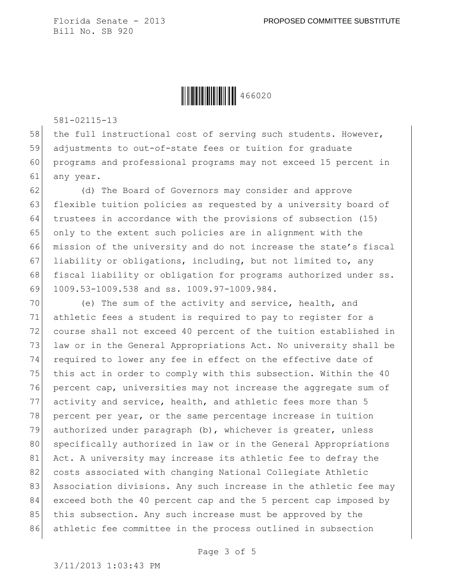**│││││││││││││││** 466020

581-02115-13

58 the full instructional cost of serving such students. However, 59 adjustments to out-of-state fees or tuition for graduate 60 programs and professional programs may not exceed 15 percent in 61 any year.

62 (d) The Board of Governors may consider and approve 63 flexible tuition policies as requested by a university board of 64 trustees in accordance with the provisions of subsection (15) 65 only to the extent such policies are in alignment with the 66 mission of the university and do not increase the state's fiscal 67 liability or obligations, including, but not limited to, any 68 fiscal liability or obligation for programs authorized under ss. 69 1009.53-1009.538 and ss. 1009.97-1009.984.

70 (e) The sum of the activity and service, health, and 71 athletic fees a student is required to pay to register for a 72 course shall not exceed 40 percent of the tuition established in 73 law or in the General Appropriations Act. No university shall be 74 required to lower any fee in effect on the effective date of 75 this act in order to comply with this subsection. Within the 40 76 percent cap, universities may not increase the aggregate sum of 77 activity and service, health, and athletic fees more than 5 78 percent per year, or the same percentage increase in tuition 79 authorized under paragraph (b), whichever is greater, unless 80 specifically authorized in law or in the General Appropriations 81 Act. A university may increase its athletic fee to defray the 82 costs associated with changing National Collegiate Athletic 83 Association divisions. Any such increase in the athletic fee may 84 exceed both the 40 percent cap and the 5 percent cap imposed by 85 this subsection. Any such increase must be approved by the 86 athletic fee committee in the process outlined in subsection

Page 3 of 5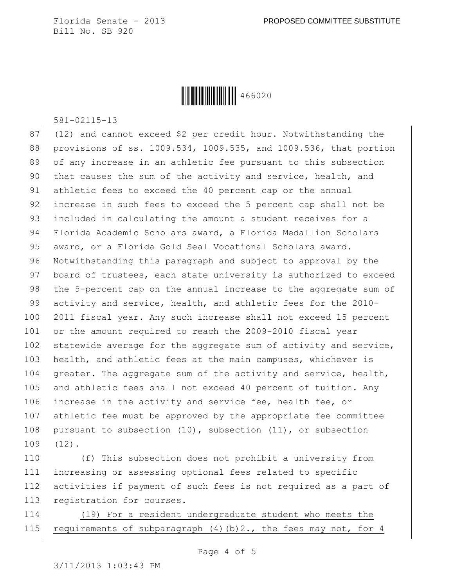**│││││││││││││││** 466020

581-02115-13

 $87$  (12) and cannot exceed \$2 per credit hour. Notwithstanding the 88 provisions of ss. 1009.534, 1009.535, and 1009.536, that portion 89 of any increase in an athletic fee pursuant to this subsection 90 that causes the sum of the activity and service, health, and 91 athletic fees to exceed the 40 percent cap or the annual 92 increase in such fees to exceed the 5 percent cap shall not be 93 included in calculating the amount a student receives for a 94 Florida Academic Scholars award, a Florida Medallion Scholars 95 award, or a Florida Gold Seal Vocational Scholars award. 96 Notwithstanding this paragraph and subject to approval by the 97 board of trustees, each state university is authorized to exceed 98 the 5-percent cap on the annual increase to the aggregate sum of 99 activity and service, health, and athletic fees for the 2010- 100 2011 fiscal year. Any such increase shall not exceed 15 percent 101 or the amount required to reach the 2009-2010 fiscal year 102 statewide average for the aggregate sum of activity and service, 103 health, and athletic fees at the main campuses, whichever is 104 greater. The aggregate sum of the activity and service, health, 105 and athletic fees shall not exceed 40 percent of tuition. Any 106 increase in the activity and service fee, health fee, or 107 athletic fee must be approved by the appropriate fee committee 108 pursuant to subsection  $(10)$ , subsection  $(11)$ , or subsection 109 (12).

 (f) This subsection does not prohibit a university from increasing or assessing optional fees related to specific activities if payment of such fees is not required as a part of 113 registration for courses.

114 (19) For a resident undergraduate student who meets the 115 requirements of subparagraph  $(4)(b)$  2., the fees may not, for 4